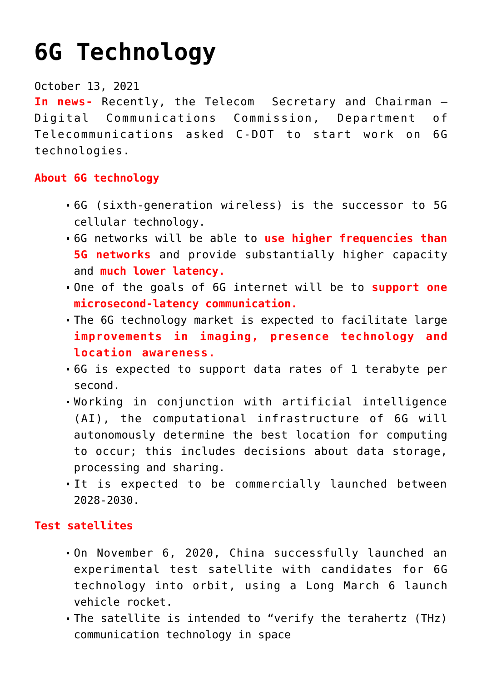# **[6G Technology](https://journalsofindia.com/6g-technology/)**

### October 13, 2021

**In news-** Recently, the Telecom Secretary and Chairman – Digital Communications Commission, Department of Telecommunications asked C-DOT to start work on 6G technologies.

## **About 6G technology**

- 6G (sixth-generation wireless) is the successor to 5G cellular technology.
- 6G networks will be able to **use higher frequencies than 5G networks** and provide substantially higher capacity and **much lower latency.**
- One of the goals of 6G internet will be to **support one microsecond-latency communication.**
- The 6G technology market is expected to facilitate large **improvements in imaging, presence technology and location awareness.**
- 6G is expected to support data rates of 1 terabyte per second.
- Working in conjunction with artificial intelligence (AI), the computational infrastructure of 6G will autonomously determine the best location for computing to occur; this includes decisions about data storage, processing and sharing.
- It is expected to be commercially launched between 2028-2030.

### **Test satellites**

- On November 6, 2020, China successfully launched an experimental test satellite with candidates for 6G technology into orbit, using a Long March 6 launch vehicle rocket.
- The satellite is intended to "verify the terahertz (THz) communication technology in space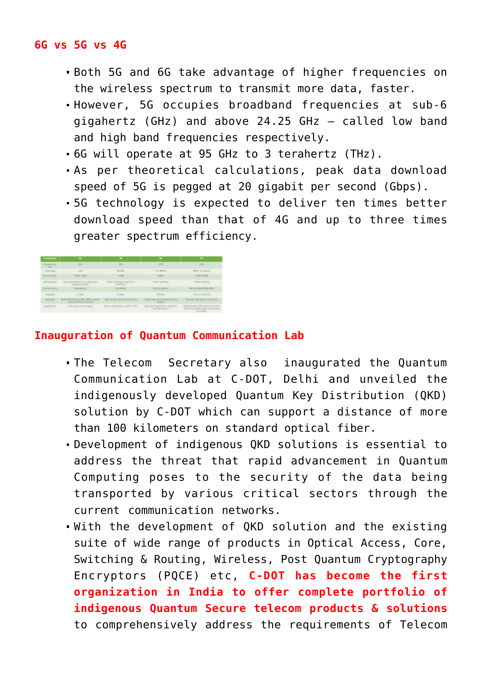#### **6G vs 5G vs 4G**

- Both 5G and 6G take advantage of higher frequencies on the wireless spectrum to transmit more data, faster.
- However, 5G occupies broadband frequencies at sub-6 gigahertz (GHz) and above 24.25 GHz – called low band and high band frequencies respectively.
- 6G will operate at 95 GHz to 3 terahertz (THz).
- As per theoretical calculations, peak data download speed of 5G is pegged at 20 gigabit per second (Gbps).
- 5G technology is expected to deliver ten times better download speed than that of 4G and up to three times greater spectrum efficiency.

| Comparison                       | $\overline{\phantom{a}}$                                               | ▄                                                     | <b>CONTRACTOR</b>                                               |                                                                                                           |
|----------------------------------|------------------------------------------------------------------------|-------------------------------------------------------|-----------------------------------------------------------------|-----------------------------------------------------------------------------------------------------------|
| International in-<br><b>STAR</b> | <b>THEFT</b>                                                           | 3 001                                                 | 2009                                                            | 2018                                                                                                      |
| Tochine & car                    | <b>COM</b>                                                             | WE TRUST                                              | U.S. MONAR                                                      | MAR's man Wound                                                                                           |
| <b>Burning options</b>           | <b>HOME CORAL</b>                                                      | <b>COMAL</b>                                          | IT BAY.                                                         | <b>USING STARK</b>                                                                                        |
| Sells field face.                | CAUSE switching for waive end packet.<br>switching for data            | Portlett cash: New years at Nova's<br>Allen Federacio | Packet switched                                                 | For \$12 molt (14 s)                                                                                      |
| <b>Internet center</b>           | <b>Nameshand</b>                                                       | <b>Encycloped</b>                                     | Likes Inmarksayd                                                | Window World Wale Work                                                                                    |
| European Mit                     | 25,000 to                                                              | 25 MHz                                                | <b><i><u>AGE WAR BY</u></i></b>                                 | McCata for 1650 CEN-                                                                                      |
| Advertisin                       | Moltimorilla features (GM), MMG Johnnet<br>arrests and lifet amoukand. | <b>Fight security, international marking</b>          | Speed high speed handoth, global<br><b>Charles Card</b>         | Externely high speech, low-latency                                                                        |
| Australians                      | Voice calls, short memorant                                            | Wales conferencing, models TV, GPL                    | High speed applyations, recibile Till,<br>percentakly climates. | High-resolution video streaming, remote<br>control of seria los, waterly, and marked<br><b>STATISTICS</b> |

## **Inauguration of Quantum Communication Lab**

- The Telecom Secretary also inaugurated the Quantum Communication Lab at C-DOT, Delhi and unveiled the indigenously developed Quantum Key Distribution (QKD) solution by C-DOT which can support a distance of more than 100 kilometers on standard optical fiber.
- Development of indigenous QKD solutions is essential to address the threat that rapid advancement in Quantum Computing poses to the security of the data being transported by various critical sectors through the current communication networks.
- With the development of QKD solution and the existing suite of wide range of products in Optical Access, Core, Switching & Routing, Wireless, Post Quantum Cryptography Encryptors (PQCE) etc, **C-DOT has become the first organization in India to offer complete portfolio of indigenous Quantum Secure telecom products & solutions** to comprehensively address the requirements of Telecom